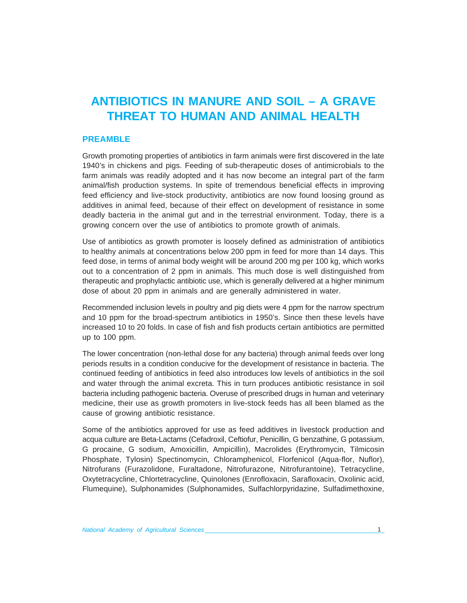# **ANTIBIOTICS IN MANURE AND SOIL – A GRAVE THREAT TO HUMAN AND ANIMAL HEALTH**

# **PREAMBLE**

Growth promoting properties of antibiotics in farm animals were first discovered in the late 1940's in chickens and pigs. Feeding of sub-therapeutic doses of antimicrobials to the farm animals was readily adopted and it has now become an integral part of the farm animal/fish production systems. In spite of tremendous beneficial effects in improving feed efficiency and live-stock productivity, antibiotics are now found loosing ground as additives in animal feed, because of their effect on development of resistance in some deadly bacteria in the animal gut and in the terrestrial environment. Today, there is a growing concern over the use of antibiotics to promote growth of animals.

Use of antibiotics as growth promoter is loosely defined as administration of antibiotics to healthy animals at concentrations below 200 ppm in feed for more than 14 days. This feed dose, in terms of animal body weight will be around 200 mg per 100 kg, which works out to a concentration of 2 ppm in animals. This much dose is well distinguished from therapeutic and prophylactic antibiotic use, which is generally delivered at a higher minimum dose of about 20 ppm in animals and are generally administered in water.

Recommended inclusion levels in poultry and pig diets were 4 ppm for the narrow spectrum and 10 ppm for the broad-spectrum antibiotics in 1950's. Since then these levels have increased 10 to 20 folds. In case of fish and fish products certain antibiotics are permitted up to 100 ppm.

The lower concentration (non-lethal dose for any bacteria) through animal feeds over long periods results in a condition conducive for the development of resistance in bacteria. The continued feeding of antibiotics in feed also introduces low levels of antibiotics in the soil and water through the animal excreta. This in turn produces antibiotic resistance in soil bacteria including pathogenic bacteria. Overuse of prescribed drugs in human and veterinary medicine, their use as growth promoters in live-stock feeds has all been blamed as the cause of growing antibiotic resistance.

Some of the antibiotics approved for use as feed additives in livestock production and acqua culture are Beta-Lactams (Cefadroxil, Ceftiofur, Penicillin, G benzathine, G potassium, G procaine, G sodium, Amoxicillin, Ampicillin), Macrolides (Erythromycin, Tilmicosin Phosphate, Tylosin) Spectinomycin, Chloramphenicol, Florfenicol (Aqua-flor, Nuflor), Nitrofurans (Furazolidone, Furaltadone, Nitrofurazone, Nitrofurantoine), Tetracycline, Oxytetracycline, Chlortetracycline, Quinolones (Enrofloxacin, Sarafloxacin, Oxolinic acid, Flumequine), Sulphonamides (Sulphonamides, Sulfachlorpyridazine, Sulfadimethoxine,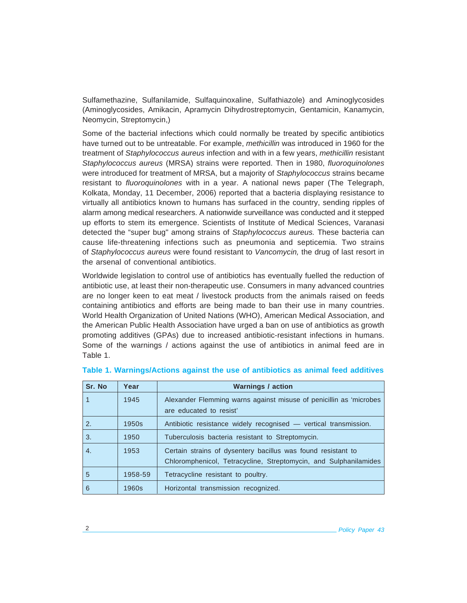Sulfamethazine, Sulfanilamide, Sulfaquinoxaline, Sulfathiazole) and Aminoglycosides (Aminoglycosides, Amikacin, Apramycin Dihydrostreptomycin, Gentamicin, Kanamycin, Neomycin, Streptomycin,)

Some of the bacterial infections which could normally be treated by specific antibiotics have turned out to be untreatable. For example, *methicillin* was introduced in 1960 for the treatment of *Staphylococcus aureus* infection and with in a few years, *methicillin* resistant *Staphylococcus aureus* (MRSA) strains were reported. Then in 1980, *fluoroquinolones* were introduced for treatment of MRSA, but a majority of *Staphylococcus* strains became resistant to *fluoroquinolones* with in a year. A national news paper (The Telegraph, Kolkata, Monday, 11 December, 2006) reported that a bacteria displaying resistance to virtually all antibiotics known to humans has surfaced in the country, sending ripples of alarm among medical researchers. A nationwide surveillance was conducted and it stepped up efforts to stem its emergence. Scientists of Institute of Medical Sciences, Varanasi detected the "super bug" among strains of *Staphylococcus aureus.* These bacteria can cause life-threatening infections such as pneumonia and septicemia. Two strains of *Staphylococcus aureus* were found resistant to *Vancomycin,* the drug of last resort in the arsenal of conventional antibiotics.

Worldwide legislation to control use of antibiotics has eventually fuelled the reduction of antibiotic use, at least their non-therapeutic use. Consumers in many advanced countries are no longer keen to eat meat / livestock products from the animals raised on feeds containing antibiotics and efforts are being made to ban their use in many countries. World Health Organization of United Nations (WHO), American Medical Association, and the American Public Health Association have urged a ban on use of antibiotics as growth promoting additives (GPAs) due to increased antibiotic-resistant infections in humans. Some of the warnings / actions against the use of antibiotics in animal feed are in Table 1.

| Sr. No | Year    | <b>Warnings / action</b>                                                                                                         |
|--------|---------|----------------------------------------------------------------------------------------------------------------------------------|
| 1      | 1945    | Alexander Flemming warns against misuse of penicillin as 'microbes<br>are educated to resist'                                    |
| 2.     | 1950s   | Antibiotic resistance widely recognised - vertical transmission.                                                                 |
| 3.     | 1950    | Tuberculosis bacteria resistant to Streptomycin.                                                                                 |
| 4.     | 1953    | Certain strains of dysentery bacillus was found resistant to<br>Chloromphenicol, Tetracycline, Streptomycin, and Sulphanilamides |
| 5      | 1958-59 | Tetracycline resistant to poultry.                                                                                               |
| 6      | 1960s   | Horizontal transmission recognized.                                                                                              |

# **Table 1. Warnings/Actions against the use of antibiotics as animal feed additives**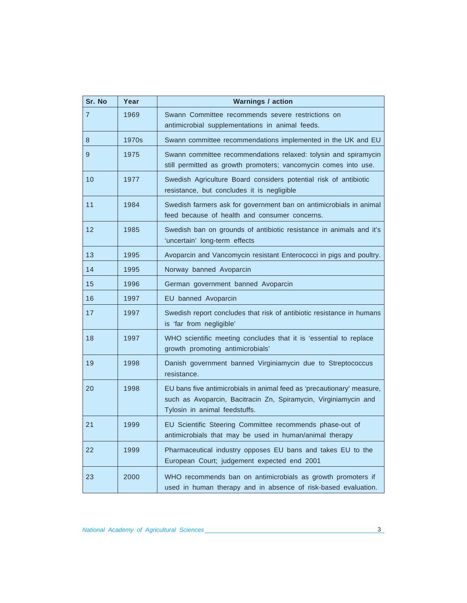| Sr. No         | Year  | <b>Warnings / action</b>                                                                                                                                                   |
|----------------|-------|----------------------------------------------------------------------------------------------------------------------------------------------------------------------------|
| $\overline{7}$ | 1969  | Swann Committee recommends severe restrictions on<br>antimicrobial supplementations in animal feeds.                                                                       |
| 8              | 1970s | Swann committee recommendations implemented in the UK and EU                                                                                                               |
| 9              | 1975  | Swann committee recommendations relaxed: tolysin and spiramycin<br>still permitted as growth promoters; vancomycin comes into use.                                         |
| 10             | 1977  | Swedish Agriculture Board considers potential risk of antibiotic<br>resistance, but concludes it is negligible                                                             |
| 11             | 1984  | Swedish farmers ask for government ban on antimicrobials in animal<br>feed because of health and consumer concerns.                                                        |
| 12             | 1985  | Swedish ban on grounds of antibiotic resistance in animals and it's<br>'uncertain' long-term effects                                                                       |
| 13             | 1995  | Avoparcin and Vancomycin resistant Enterococci in pigs and poultry.                                                                                                        |
| 14             | 1995  | Norway banned Avoparcin                                                                                                                                                    |
| 15             | 1996  | German government banned Avoparcin                                                                                                                                         |
| 16             | 1997  | EU banned Avoparcin                                                                                                                                                        |
| 17             | 1997  | Swedish report concludes that risk of antibiotic resistance in humans<br>is 'far from negligible'                                                                          |
| 18             | 1997  | WHO scientific meeting concludes that it is 'essential to replace<br>growth promoting antimicrobials'                                                                      |
| 19             | 1998  | Danish government banned Virginiamycin due to Streptococcus<br>resistance.                                                                                                 |
| 20             | 1998  | EU bans five antimicrobials in animal feed as 'precautionary' measure,<br>such as Avoparcin, Bacitracin Zn, Spiramycin, Virginiamycin and<br>Tylosin in animal feedstuffs. |
| 21             | 1999  | EU Scientific Steering Committee recommends phase-out of<br>antimicrobials that may be used in human/animal therapy                                                        |
| 22             | 1999  | Pharmaceutical industry opposes EU bans and takes EU to the<br>European Court; judgement expected end 2001                                                                 |
| 23             | 2000  | WHO recommends ban on antimicrobials as growth promoters if<br>used in human therapy and in absence of risk-based evaluation.                                              |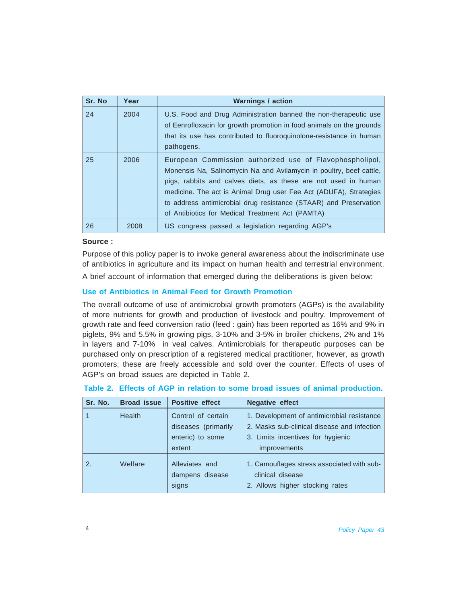| Sr. No | Year | <b>Warnings / action</b>                                                                                                                                                                                                                                                                                                                                                                        |
|--------|------|-------------------------------------------------------------------------------------------------------------------------------------------------------------------------------------------------------------------------------------------------------------------------------------------------------------------------------------------------------------------------------------------------|
| 24     | 2004 | U.S. Food and Drug Administration banned the non-therapeutic use<br>of Eenrofloxacin for growth promotion in food animals on the grounds<br>that its use has contributed to fluoroquinolone-resistance in human<br>pathogens.                                                                                                                                                                   |
| 25     | 2006 | European Commission authorized use of Flavophospholipol,<br>Monensis Na, Salinomycin Na and Avilamycin in poultry, beef cattle,<br>pigs, rabbits and calves diets, as these are not used in human<br>medicine. The act is Animal Drug user Fee Act (ADUFA), Strategies<br>to address antimicrobial drug resistance (STAAR) and Preservation<br>of Antibiotics for Medical Treatment Act (PAMTA) |
| 26     | 2008 | US congress passed a legislation regarding AGP's                                                                                                                                                                                                                                                                                                                                                |

# **Source :**

Purpose of this policy paper is to invoke general awareness about the indiscriminate use of antibiotics in agriculture and its impact on human health and terrestrial environment.

A brief account of information that emerged during the deliberations is given below:

# **Use of Antibiotics in Animal Feed for Growth Promotion**

The overall outcome of use of antimicrobial growth promoters (AGPs) is the availability of more nutrients for growth and production of livestock and poultry. Improvement of growth rate and feed conversion ratio (feed : gain) has been reported as 16% and 9% in piglets, 9% and 5.5% in growing pigs, 3-10% and 3-5% in broiler chickens, 2% and 1% in layers and 7-10% in veal calves. Antimicrobials for therapeutic purposes can be purchased only on prescription of a registered medical practitioner, however, as growth promoters; these are freely accessible and sold over the counter. Effects of uses of AGP's on broad issues are depicted in Table 2.

| Sr. No. | <b>Broad issue</b> | <b>Positive effect</b>                                                  | <b>Negative effect</b>                                                                                                                                |
|---------|--------------------|-------------------------------------------------------------------------|-------------------------------------------------------------------------------------------------------------------------------------------------------|
|         | <b>Health</b>      | Control of certain<br>diseases (primarily<br>enteric) to some<br>extent | 1. Development of antimicrobial resistance<br>2. Masks sub-clinical disease and infection<br>3. Limits incentives for hygienic<br><i>improvements</i> |
| 2.      | Welfare            | Alleviates and<br>dampens disease<br>signs                              | 1. Camouflages stress associated with sub-<br>clinical disease<br>2. Allows higher stocking rates                                                     |

| Table 2. Effects of AGP in relation to some broad issues of animal production. |  |  |  |  |  |  |  |  |  |  |  |  |  |
|--------------------------------------------------------------------------------|--|--|--|--|--|--|--|--|--|--|--|--|--|
|--------------------------------------------------------------------------------|--|--|--|--|--|--|--|--|--|--|--|--|--|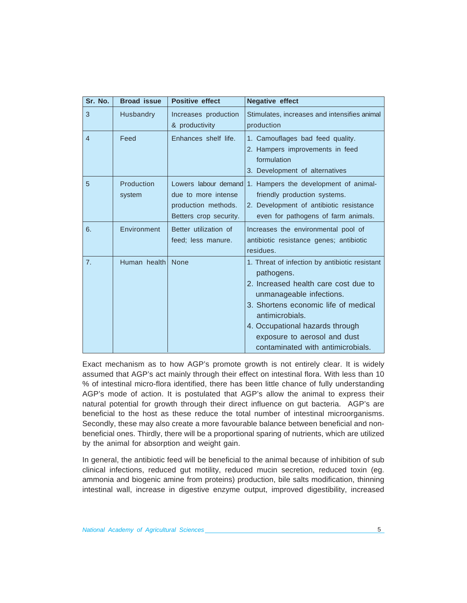| Sr. No.        | <b>Broad issue</b>   | <b>Positive effect</b>                                                                       | <b>Negative effect</b>                                                                                                                                                                                                                                                                              |
|----------------|----------------------|----------------------------------------------------------------------------------------------|-----------------------------------------------------------------------------------------------------------------------------------------------------------------------------------------------------------------------------------------------------------------------------------------------------|
| 3              | Husbandry            | Increases production<br>& productivity                                                       | Stimulates, increases and intensifies animal<br>production                                                                                                                                                                                                                                          |
| $\overline{4}$ | Feed                 | Enhances shelf life.                                                                         | 1. Camouflages bad feed quality.<br>2. Hampers improvements in feed<br>formulation<br>3. Development of alternatives                                                                                                                                                                                |
| 5              | Production<br>system | Lowers labour demand<br>due to more intense<br>production methods.<br>Betters crop security. | 1. Hampers the development of animal-<br>friendly production systems.<br>2. Development of antibiotic resistance<br>even for pathogens of farm animals.                                                                                                                                             |
| 6.             | Environment          | Better utilization of<br>feed; less manure.                                                  | Increases the environmental pool of<br>antibiotic resistance genes; antibiotic<br>residues.                                                                                                                                                                                                         |
| 7 <sub>1</sub> | Human health         | None                                                                                         | 1. Threat of infection by antibiotic resistant<br>pathogens.<br>2. Increased health care cost due to<br>unmanageable infections.<br>3. Shortens economic life of medical<br>antimicrobials.<br>4. Occupational hazards through<br>exposure to aerosol and dust<br>contaminated with antimicrobials. |

Exact mechanism as to how AGP's promote growth is not entirely clear. It is widely assumed that AGP's act mainly through their effect on intestinal flora. With less than 10 % of intestinal micro-flora identified, there has been little chance of fully understanding AGP's mode of action. It is postulated that AGP's allow the animal to express their natural potential for growth through their direct influence on gut bacteria. AGP's are beneficial to the host as these reduce the total number of intestinal microorganisms. Secondly, these may also create a more favourable balance between beneficial and nonbeneficial ones. Thirdly, there will be a proportional sparing of nutrients, which are utilized by the animal for absorption and weight gain.

In general, the antibiotic feed will be beneficial to the animal because of inhibition of sub clinical infections, reduced gut motility, reduced mucin secretion, reduced toxin (eg. ammonia and biogenic amine from proteins) production, bile salts modification, thinning intestinal wall, increase in digestive enzyme output, improved digestibility, increased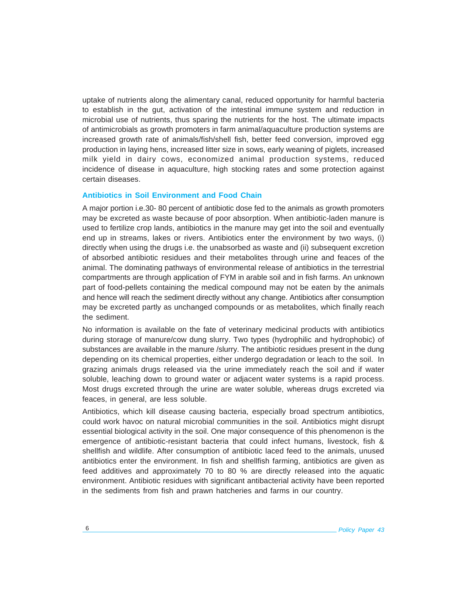uptake of nutrients along the alimentary canal, reduced opportunity for harmful bacteria to establish in the gut, activation of the intestinal immune system and reduction in microbial use of nutrients, thus sparing the nutrients for the host. The ultimate impacts of antimicrobials as growth promoters in farm animal/aquaculture production systems are increased growth rate of animals/fish/shell fish, better feed conversion, improved egg production in laying hens, increased litter size in sows, early weaning of piglets, increased milk yield in dairy cows, economized animal production systems, reduced incidence of disease in aquaculture, high stocking rates and some protection against certain diseases.

# **Antibiotics in Soil Environment and Food Chain**

A major portion i.e.30- 80 percent of antibiotic dose fed to the animals as growth promoters may be excreted as waste because of poor absorption. When antibiotic-laden manure is used to fertilize crop lands, antibiotics in the manure may get into the soil and eventually end up in streams, lakes or rivers. Antibiotics enter the environment by two ways, (i) directly when using the drugs i.e. the unabsorbed as waste and (ii) subsequent excretion of absorbed antibiotic residues and their metabolites through urine and feaces of the animal. The dominating pathways of environmental release of antibiotics in the terrestrial compartments are through application of FYM in arable soil and in fish farms. An unknown part of food-pellets containing the medical compound may not be eaten by the animals and hence will reach the sediment directly without any change. Antibiotics after consumption may be excreted partly as unchanged compounds or as metabolites, which finally reach the sediment.

No information is available on the fate of veterinary medicinal products with antibiotics during storage of manure/cow dung slurry. Two types (hydrophilic and hydrophobic) of substances are available in the manure /slurry. The antibiotic residues present in the dung depending on its chemical properties, either undergo degradation or leach to the soil. In grazing animals drugs released via the urine immediately reach the soil and if water soluble, leaching down to ground water or adjacent water systems is a rapid process. Most drugs excreted through the urine are water soluble, whereas drugs excreted via feaces, in general, are less soluble.

Antibiotics, which kill disease causing bacteria, especially broad spectrum antibiotics, could work havoc on natural microbial communities in the soil. Antibiotics might disrupt essential biological activity in the soil. One major consequence of this phenomenon is the emergence of antibiotic-resistant bacteria that could infect humans, livestock, fish & shellfish and wildlife. After consumption of antibiotic laced feed to the animals, unused antibiotics enter the environment. In fish and shellfish farming, antibiotics are given as feed additives and approximately 70 to 80 % are directly released into the aquatic environment. Antibiotic residues with significant antibacterial activity have been reported in the sediments from fish and prawn hatcheries and farms in our country.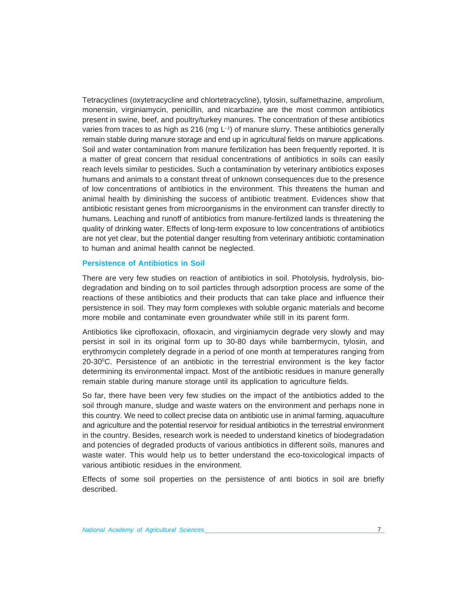Tetracyclines (oxytetracycline and chlortetracycline), tylosin, sulfamethazine, amprolium, monensin, virginiamycin, penicillin, and nicarbazine are the most common antibiotics present in swine, beef, and poultry/turkey manures. The concentration of these antibiotics varies from traces to as high as 216 (mg L<sup>-1</sup>) of manure slurry. These antibiotics generally remain stable during manure storage and end up in agricultural fields on manure applications. Soil and water contamination from manure fertilization has been frequently reported. It is a matter of great concern that residual concentrations of antibiotics in soils can easily reach levels similar to pesticides. Such a contamination by veterinary antibiotics exposes humans and animals to a constant threat of unknown consequences due to the presence of low concentrations of antibiotics in the environment. This threatens the human and animal health by diminishing the success of antibiotic treatment. Evidences show that antibiotic resistant genes from microorganisms in the environment can transfer directly to humans. Leaching and runoff of antibiotics from manure-fertilized lands is threatening the quality of drinking water. Effects of long-term exposure to low concentrations of antibiotics are not yet clear, but the potential danger resulting from veterinary antibiotic contamination to human and animal health cannot be neglected.

#### **Persistence of Antibiotics in Soil**

There are very few studies on reaction of antibiotics in soil. Photolysis, hydrolysis, biodegradation and binding on to soil particles through adsorption process are some of the reactions of these antibiotics and their products that can take place and influence their persistence in soil. They may form complexes with soluble organic materials and become more mobile and contaminate even groundwater while still in its parent form.

Antibiotics like ciprofloxacin, ofloxacin, and virginiamycin degrade very slowly and may persist in soil in its original form up to 30-80 days while bambermycin, tylosin, and erythromycin completely degrade in a period of one month at temperatures ranging from  $20-30$ <sup>o</sup>C. Persistence of an antibiotic in the terrestrial environment is the key factor determining its environmental impact. Most of the antibiotic residues in manure generally remain stable during manure storage until its application to agriculture fields.

So far, there have been very few studies on the impact of the antibiotics added to the soil through manure, sludge and waste waters on the environment and perhaps none in this country. We need to collect precise data on antibiotic use in animal farming, aquaculture and agriculture and the potential reservoir for residual antibiotics in the terrestrial environment in the country. Besides, research work is needed to understand kinetics of biodegradation and potencies of degraded products of various antibiotics in different soils, manures and waste water. This would help us to better understand the eco-toxicological impacts of various antibiotic residues in the environment.

Effects of some soil properties on the persistence of anti biotics in soil are briefly described.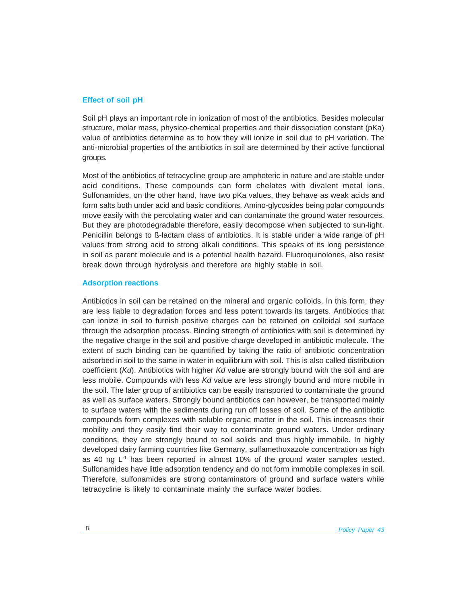# **Effect of soil pH**

Soil pH plays an important role in ionization of most of the antibiotics. Besides molecular structure, molar mass, physico-chemical properties and their dissociation constant (pKa) value of antibiotics determine as to how they will ionize in soil due to pH variation. The anti-microbial properties of the antibiotics in soil are determined by their active functional groups.

Most of the antibiotics of tetracycline group are amphoteric in nature and are stable under acid conditions. These compounds can form chelates with divalent metal ions. Sulfonamides, on the other hand, have two pKa values, they behave as weak acids and form salts both under acid and basic conditions. Amino-glycosides being polar compounds move easily with the percolating water and can contaminate the ground water resources. But they are photodegradable therefore, easily decompose when subjected to sun-light. Penicillin belongs to ß-lactam class of antibiotics. It is stable under a wide range of pH values from strong acid to strong alkali conditions. This speaks of its long persistence in soil as parent molecule and is a potential health hazard. Fluoroquinolones, also resist break down through hydrolysis and therefore are highly stable in soil.

#### **Adsorption reactions**

Antibiotics in soil can be retained on the mineral and organic colloids. In this form, they are less liable to degradation forces and less potent towards its targets. Antibiotics that can ionize in soil to furnish positive charges can be retained on colloidal soil surface through the adsorption process. Binding strength of antibiotics with soil is determined by the negative charge in the soil and positive charge developed in antibiotic molecule. The extent of such binding can be quantified by taking the ratio of antibiotic concentration adsorbed in soil to the same in water in equilibrium with soil. This is also called distribution coefficient (*Kd*). Antibiotics with higher *Kd* value are strongly bound with the soil and are less mobile. Compounds with less *Kd* value are less strongly bound and more mobile in the soil. The later group of antibiotics can be easily transported to contaminate the ground as well as surface waters. Strongly bound antibiotics can however, be transported mainly to surface waters with the sediments during run off losses of soil. Some of the antibiotic compounds form complexes with soluble organic matter in the soil. This increases their mobility and they easily find their way to contaminate ground waters. Under ordinary conditions, they are strongly bound to soil solids and thus highly immobile. In highly developed dairy farming countries like Germany, sulfamethoxazole concentration as high as 40 ng  $L<sup>1</sup>$  has been reported in almost 10% of the ground water samples tested. Sulfonamides have little adsorption tendency and do not form immobile complexes in soil. Therefore, sulfonamides are strong contaminators of ground and surface waters while tetracycline is likely to contaminate mainly the surface water bodies.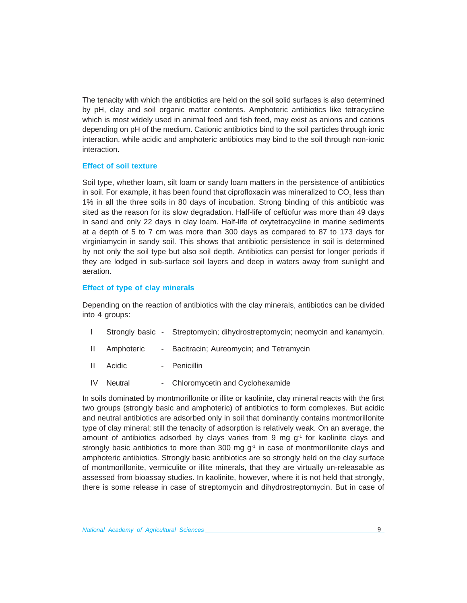The tenacity with which the antibiotics are held on the soil solid surfaces is also determined by pH, clay and soil organic matter contents. Amphoteric antibiotics like tetracycline which is most widely used in animal feed and fish feed, may exist as anions and cations depending on pH of the medium. Cationic antibiotics bind to the soil particles through ionic interaction, while acidic and amphoteric antibiotics may bind to the soil through non-ionic interaction.

# **Effect of soil texture**

Soil type, whether loam, silt loam or sandy loam matters in the persistence of antibiotics in soil. For example, it has been found that ciprofloxacin was mineralized to CO<sub>2</sub> less than 1% in all the three soils in 80 days of incubation. Strong binding of this antibiotic was sited as the reason for its slow degradation. Half-life of ceftiofur was more than 49 days in sand and only 22 days in clay loam. Half-life of oxytetracycline in marine sediments at a depth of 5 to 7 cm was more than 300 days as compared to 87 to 173 days for virginiamycin in sandy soil. This shows that antibiotic persistence in soil is determined by not only the soil type but also soil depth. Antibiotics can persist for longer periods if they are lodged in sub-surface soil layers and deep in waters away from sunlight and aeration.

#### **Effect of type of clay minerals**

Depending on the reaction of antibiotics with the clay minerals, antibiotics can be divided into 4 groups:

- I Strongly basic Streptomycin; dihydrostreptomycin; neomycin and kanamycin.
- II Amphoteric Bacitracin; Aureomycin; and Tetramycin
- II Acidic Penicillin
- IV Neutral Chloromycetin and Cyclohexamide

In soils dominated by montmorillonite or illite or kaolinite, clay mineral reacts with the first two groups (strongly basic and amphoteric) of antibiotics to form complexes. But acidic and neutral antibiotics are adsorbed only in soil that dominantly contains montmorillonite type of clay mineral; still the tenacity of adsorption is relatively weak. On an average, the amount of antibiotics adsorbed by clays varies from 9 mg  $q<sup>-1</sup>$  for kaolinite clays and strongly basic antibiotics to more than 300 mg  $q^{-1}$  in case of montmorillonite clays and amphoteric antibiotics. Strongly basic antibiotics are so strongly held on the clay surface of montmorillonite, vermiculite or illite minerals, that they are virtually un-releasable as assessed from bioassay studies. In kaolinite, however, where it is not held that strongly, there is some release in case of streptomycin and dihydrostreptomycin. But in case of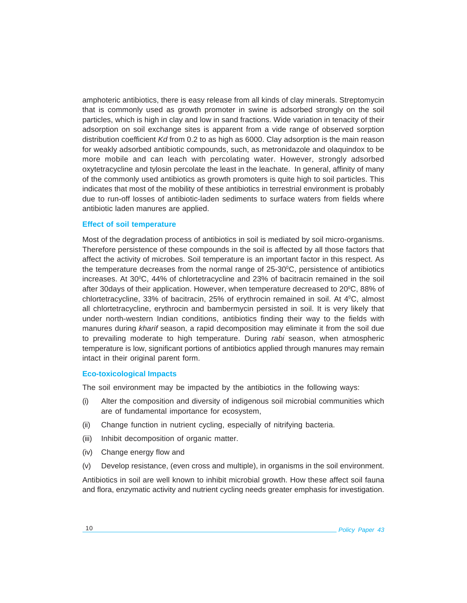amphoteric antibiotics, there is easy release from all kinds of clay minerals. Streptomycin that is commonly used as growth promoter in swine is adsorbed strongly on the soil particles, which is high in clay and low in sand fractions. Wide variation in tenacity of their adsorption on soil exchange sites is apparent from a vide range of observed sorption distribution coefficient *Kd* from 0.2 to as high as 6000. Clay adsorption is the main reason for weakly adsorbed antibiotic compounds, such, as metronidazole and olaquindox to be more mobile and can leach with percolating water. However, strongly adsorbed oxytetracycline and tylosin percolate the least in the leachate. In general, affinity of many of the commonly used antibiotics as growth promoters is quite high to soil particles. This indicates that most of the mobility of these antibiotics in terrestrial environment is probably due to run-off losses of antibiotic-laden sediments to surface waters from fields where antibiotic laden manures are applied.

#### **Effect of soil temperature**

Most of the degradation process of antibiotics in soil is mediated by soil micro-organisms. Therefore persistence of these compounds in the soil is affected by all those factors that affect the activity of microbes. Soil temperature is an important factor in this respect. As the temperature decreases from the normal range of  $25{\cdot}30^{\circ}$ C, persistence of antibiotics increases. At 30°C, 44% of chlortetracycline and 23% of bacitracin remained in the soil after 30days of their application. However, when temperature decreased to  $20^{\circ}$ C, 88% of chlortetracycline, 33% of bacitracin, 25% of erythrocin remained in soil. At  $4^{\circ}$ C, almost all chlortetracycline, erythrocin and bambermycin persisted in soil. It is very likely that under north-western Indian conditions, antibiotics finding their way to the fields with manures during *kharif* season, a rapid decomposition may eliminate it from the soil due to prevailing moderate to high temperature. During *rabi* season, when atmospheric temperature is low, significant portions of antibiotics applied through manures may remain intact in their original parent form.

#### **Eco-toxicological Impacts**

The soil environment may be impacted by the antibiotics in the following ways:

- (i) Alter the composition and diversity of indigenous soil microbial communities which are of fundamental importance for ecosystem,
- (ii) Change function in nutrient cycling, especially of nitrifying bacteria.
- (iii) Inhibit decomposition of organic matter.
- (iv) Change energy flow and
- (v) Develop resistance, (even cross and multiple), in organisms in the soil environment.

Antibiotics in soil are well known to inhibit microbial growth. How these affect soil fauna and flora, enzymatic activity and nutrient cycling needs greater emphasis for investigation.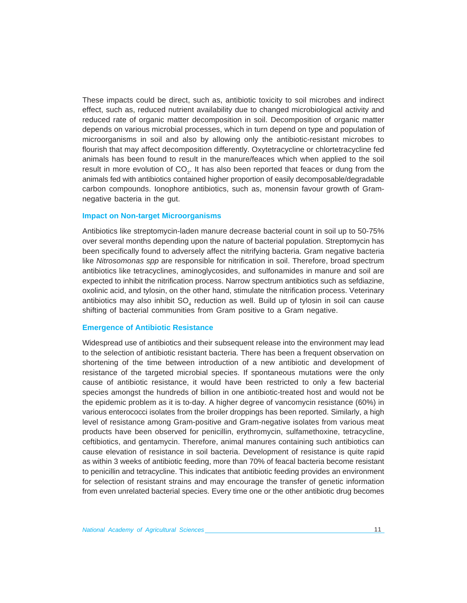These impacts could be direct, such as, antibiotic toxicity to soil microbes and indirect effect, such as, reduced nutrient availability due to changed microbiological activity and reduced rate of organic matter decomposition in soil. Decomposition of organic matter depends on various microbial processes, which in turn depend on type and population of microorganisms in soil and also by allowing only the antibiotic-resistant microbes to flourish that may affect decomposition differently. Oxytetracycline or chlortetracycline fed animals has been found to result in the manure/feaces which when applied to the soil result in more evolution of CO<sub>2</sub>. It has also been reported that feaces or dung from the animals fed with antibiotics contained higher proportion of easily decomposable/degradable carbon compounds. Ionophore antibiotics, such as, monensin favour growth of Gramnegative bacteria in the gut.

# **Impact on Non-target Microorganisms**

Antibiotics like streptomycin-laden manure decrease bacterial count in soil up to 50-75% over several months depending upon the nature of bacterial population. Streptomycin has been specifically found to adversely affect the nitrifying bacteria. Gram negative bacteria like *Nitrosomonas spp* are responsible for nitrification in soil. Therefore, broad spectrum antibiotics like tetracyclines, aminoglycosides, and sulfonamides in manure and soil are expected to inhibit the nitrification process. Narrow spectrum antibiotics such as sefdiazine, oxolinic acid, and tylosin, on the other hand, stimulate the nitrification process. Veterinary antibiotics may also inhibit SO<sub>4</sub> reduction as well. Build up of tylosin in soil can cause shifting of bacterial communities from Gram positive to a Gram negative.

#### **Emergence of Antibiotic Resistance**

Widespread use of antibiotics and their subsequent release into the environment may lead to the selection of antibiotic resistant bacteria. There has been a frequent observation on shortening of the time between introduction of a new antibiotic and development of resistance of the targeted microbial species. If spontaneous mutations were the only cause of antibiotic resistance, it would have been restricted to only a few bacterial species amongst the hundreds of billion in one antibiotic-treated host and would not be the epidemic problem as it is to-day. A higher degree of vancomycin resistance (60%) in various enterococci isolates from the broiler droppings has been reported. Similarly, a high level of resistance among Gram-positive and Gram-negative isolates from various meat products have been observed for penicillin, erythromycin, sulfamethoxine, tetracycline, ceftibiotics, and gentamycin. Therefore, animal manures containing such antibiotics can cause elevation of resistance in soil bacteria. Development of resistance is quite rapid as within 3 weeks of antibiotic feeding, more than 70% of feacal bacteria become resistant to penicillin and tetracycline. This indicates that antibiotic feeding provides an environment for selection of resistant strains and may encourage the transfer of genetic information from even unrelated bacterial species. Every time one or the other antibiotic drug becomes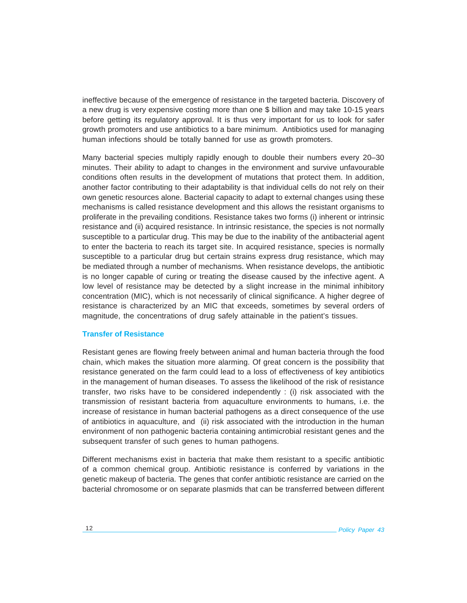ineffective because of the emergence of resistance in the targeted bacteria. Discovery of a new drug is very expensive costing more than one \$ billion and may take 10-15 years before getting its regulatory approval. It is thus very important for us to look for safer growth promoters and use antibiotics to a bare minimum. Antibiotics used for managing human infections should be totally banned for use as growth promoters.

Many bacterial species multiply rapidly enough to double their numbers every 20–30 minutes. Their ability to adapt to changes in the environment and survive unfavourable conditions often results in the development of mutations that protect them. In addition, another factor contributing to their adaptability is that individual cells do not rely on their own genetic resources alone. Bacterial capacity to adapt to external changes using these mechanisms is called resistance development and this allows the resistant organisms to proliferate in the prevailing conditions. Resistance takes two forms (i) inherent or intrinsic resistance and (ii) acquired resistance. In intrinsic resistance, the species is not normally susceptible to a particular drug. This may be due to the inability of the antibacterial agent to enter the bacteria to reach its target site. In acquired resistance, species is normally susceptible to a particular drug but certain strains express drug resistance, which may be mediated through a number of mechanisms. When resistance develops, the antibiotic is no longer capable of curing or treating the disease caused by the infective agent. A low level of resistance may be detected by a slight increase in the minimal inhibitory concentration (MIC), which is not necessarily of clinical significance. A higher degree of resistance is characterized by an MIC that exceeds, sometimes by several orders of magnitude, the concentrations of drug safely attainable in the patient's tissues.

# **Transfer of Resistance**

Resistant genes are flowing freely between animal and human bacteria through the food chain, which makes the situation more alarming. Of great concern is the possibility that resistance generated on the farm could lead to a loss of effectiveness of key antibiotics in the management of human diseases. To assess the likelihood of the risk of resistance transfer, two risks have to be considered independently : (i) risk associated with the transmission of resistant bacteria from aquaculture environments to humans, i.e. the increase of resistance in human bacterial pathogens as a direct consequence of the use of antibiotics in aquaculture, and (ii) risk associated with the introduction in the human environment of non pathogenic bacteria containing antimicrobial resistant genes and the subsequent transfer of such genes to human pathogens.

Different mechanisms exist in bacteria that make them resistant to a specific antibiotic of a common chemical group. Antibiotic resistance is conferred by variations in the genetic makeup of bacteria. The genes that confer antibiotic resistance are carried on the bacterial chromosome or on separate plasmids that can be transferred between different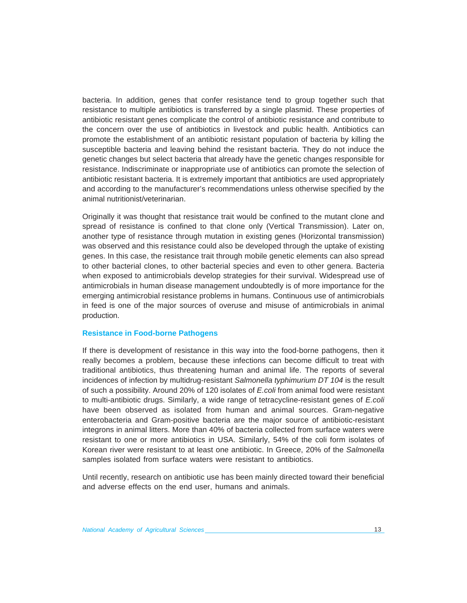bacteria. In addition, genes that confer resistance tend to group together such that resistance to multiple antibiotics is transferred by a single plasmid. These properties of antibiotic resistant genes complicate the control of antibiotic resistance and contribute to the concern over the use of antibiotics in livestock and public health. Antibiotics can promote the establishment of an antibiotic resistant population of bacteria by killing the susceptible bacteria and leaving behind the resistant bacteria. They do not induce the genetic changes but select bacteria that already have the genetic changes responsible for resistance. Indiscriminate or inappropriate use of antibiotics can promote the selection of antibiotic resistant bacteria. It is extremely important that antibiotics are used appropriately and according to the manufacturer's recommendations unless otherwise specified by the animal nutritionist/veterinarian.

Originally it was thought that resistance trait would be confined to the mutant clone and spread of resistance is confined to that clone only (Vertical Transmission). Later on, another type of resistance through mutation in existing genes (Horizontal transmission) was observed and this resistance could also be developed through the uptake of existing genes. In this case, the resistance trait through mobile genetic elements can also spread to other bacterial clones, to other bacterial species and even to other genera. Bacteria when exposed to antimicrobials develop strategies for their survival. Widespread use of antimicrobials in human disease management undoubtedly is of more importance for the emerging antimicrobial resistance problems in humans. Continuous use of antimicrobials in feed is one of the major sources of overuse and misuse of antimicrobials in animal production.

#### **Resistance in Food-borne Pathogens**

If there is development of resistance in this way into the food-borne pathogens, then it really becomes a problem, because these infections can become difficult to treat with traditional antibiotics, thus threatening human and animal life. The reports of several incidences of infection by multidrug-resistant *Salmonella typhimurium DT 104* is the result of such a possibility. Around 20% of 120 isolates of *E.coli* from animal food were resistant to multi-antibiotic drugs. Similarly, a wide range of tetracycline-resistant genes of *E.coli* have been observed as isolated from human and animal sources. Gram-negative enterobacteria and Gram-positive bacteria are the major source of antibiotic-resistant integrons in animal litters. More than 40% of bacteria collected from surface waters were resistant to one or more antibiotics in USA. Similarly, 54% of the coli form isolates of Korean river were resistant to at least one antibiotic. In Greece, 20% of the *Salmonella* samples isolated from surface waters were resistant to antibiotics.

Until recently, research on antibiotic use has been mainly directed toward their beneficial and adverse effects on the end user, humans and animals.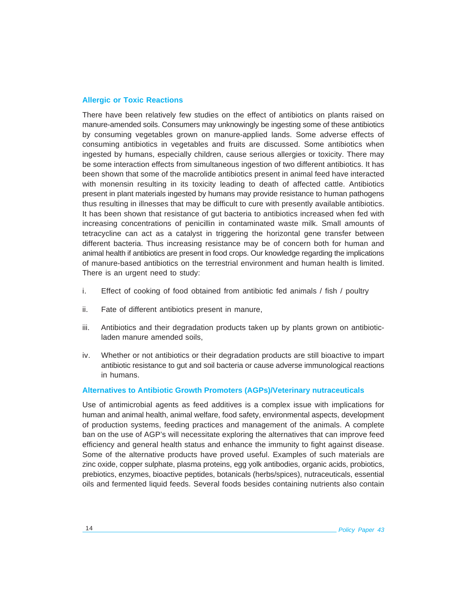# **Allergic or Toxic Reactions**

There have been relatively few studies on the effect of antibiotics on plants raised on manure-amended soils. Consumers may unknowingly be ingesting some of these antibiotics by consuming vegetables grown on manure-applied lands. Some adverse effects of consuming antibiotics in vegetables and fruits are discussed. Some antibiotics when ingested by humans, especially children, cause serious allergies or toxicity. There may be some interaction effects from simultaneous ingestion of two different antibiotics. It has been shown that some of the macrolide antibiotics present in animal feed have interacted with monensin resulting in its toxicity leading to death of affected cattle. Antibiotics present in plant materials ingested by humans may provide resistance to human pathogens thus resulting in illnesses that may be difficult to cure with presently available antibiotics. It has been shown that resistance of gut bacteria to antibiotics increased when fed with increasing concentrations of penicillin in contaminated waste milk. Small amounts of tetracycline can act as a catalyst in triggering the horizontal gene transfer between different bacteria. Thus increasing resistance may be of concern both for human and animal health if antibiotics are present in food crops. Our knowledge regarding the implications of manure-based antibiotics on the terrestrial environment and human health is limited. There is an urgent need to study:

- i. Effect of cooking of food obtained from antibiotic fed animals / fish / poultry
- ii. Fate of different antibiotics present in manure,
- iii. Antibiotics and their degradation products taken up by plants grown on antibioticladen manure amended soils,
- iv. Whether or not antibiotics or their degradation products are still bioactive to impart antibiotic resistance to gut and soil bacteria or cause adverse immunological reactions in humans.

#### **Alternatives to Antibiotic Growth Promoters (AGPs)/Veterinary nutraceuticals**

Use of antimicrobial agents as feed additives is a complex issue with implications for human and animal health, animal welfare, food safety, environmental aspects, development of production systems, feeding practices and management of the animals. A complete ban on the use of AGP's will necessitate exploring the alternatives that can improve feed efficiency and general health status and enhance the immunity to fight against disease. Some of the alternative products have proved useful. Examples of such materials are zinc oxide, copper sulphate, plasma proteins, egg yolk antibodies, organic acids, probiotics, prebiotics, enzymes, bioactive peptides, botanicals (herbs/spices), nutraceuticals, essential oils and fermented liquid feeds. Several foods besides containing nutrients also contain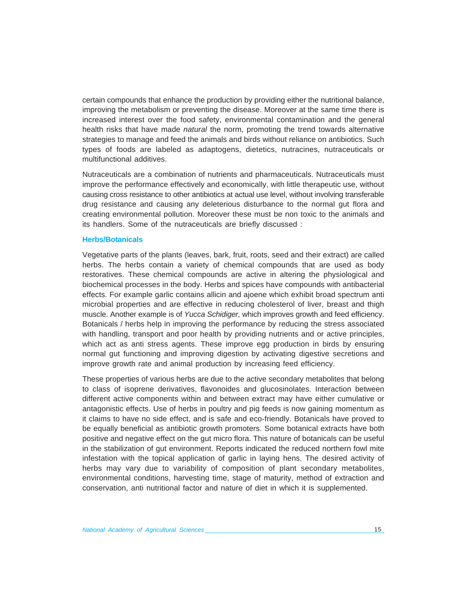certain compounds that enhance the production by providing either the nutritional balance, improving the metabolism or preventing the disease. Moreover at the same time there is increased interest over the food safety, environmental contamination and the general health risks that have made *natural* the norm, promoting the trend towards alternative strategies to manage and feed the animals and birds without reliance on antibiotics. Such types of foods are labeled as adaptogens, dietetics, nutracines, nutraceuticals or multifunctional additives.

Nutraceuticals are a combination of nutrients and pharmaceuticals. Nutraceuticals must improve the performance effectively and economically, with little therapeutic use, without causing cross resistance to other antibiotics at actual use level, without involving transferable drug resistance and causing any deleterious disturbance to the normal gut flora and creating environmental pollution. Moreover these must be non toxic to the animals and its handlers. Some of the nutraceuticals are briefly discussed :

#### **Herbs/Botanicals**

Vegetative parts of the plants (leaves, bark, fruit, roots, seed and their extract) are called herbs. The herbs contain a variety of chemical compounds that are used as body restoratives. These chemical compounds are active in altering the physiological and biochemical processes in the body. Herbs and spices have compounds with antibacterial effects. For example garlic contains allicin and ajoene which exhibit broad spectrum anti microbial properties and are effective in reducing cholesterol of liver, breast and thigh muscle. Another example is of *Yucca Schidiger,* which improves growth and feed efficiency. Botanicals / herbs help in improving the performance by reducing the stress associated with handling, transport and poor health by providing nutrients and or active principles, which act as anti stress agents. These improve egg production in birds by ensuring normal gut functioning and improving digestion by activating digestive secretions and improve growth rate and animal production by increasing feed efficiency.

These properties of various herbs are due to the active secondary metabolites that belong to class of isoprene derivatives, flavonoides and glucosinolates. Interaction between different active components within and between extract may have either cumulative or antagonistic effects. Use of herbs in poultry and pig feeds is now gaining momentum as it claims to have no side effect, and is safe and eco-friendly. Botanicals have proved to be equally beneficial as antibiotic growth promoters. Some botanical extracts have both positive and negative effect on the gut micro flora. This nature of botanicals can be useful in the stabilization of gut environment. Reports indicated the reduced northern fowl mite infestation with the topical application of garlic in laying hens. The desired activity of herbs may vary due to variability of composition of plant secondary metabolites, environmental conditions, harvesting time, stage of maturity, method of extraction and conservation, anti nutritional factor and nature of diet in which it is supplemented.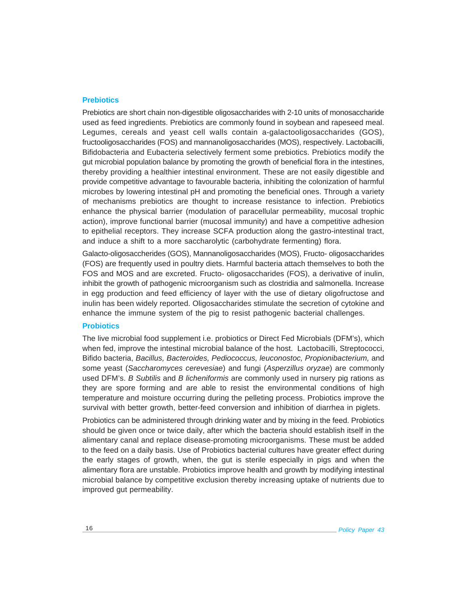#### **Prebiotics**

Prebiotics are short chain non-digestible oligosaccharides with 2-10 units of monosaccharide used as feed ingredients. Prebiotics are commonly found in soybean and rapeseed meal. Legumes, cereals and yeast cell walls contain a-galactooligosaccharides (GOS), fructooligosaccharides (FOS) and mannanoligosaccharides (MOS), respectively. Lactobacilli, Bifidobacteria and Eubacteria selectively ferment some prebiotics. Prebiotics modify the gut microbial population balance by promoting the growth of beneficial flora in the intestines, thereby providing a healthier intestinal environment. These are not easily digestible and provide competitive advantage to favourable bacteria, inhibiting the colonization of harmful microbes by lowering intestinal pH and promoting the beneficial ones. Through a variety of mechanisms prebiotics are thought to increase resistance to infection. Prebiotics enhance the physical barrier (modulation of paracellular permeability, mucosal trophic action), improve functional barrier (mucosal immunity) and have a competitive adhesion to epithelial receptors. They increase SCFA production along the gastro-intestinal tract, and induce a shift to a more saccharolytic (carbohydrate fermenting) flora.

Galacto-oligosaccherides (GOS), Mannanoligosaccharides (MOS), Fructo- oligosaccharides (FOS) are frequently used in poultry diets. Harmful bacteria attach themselves to both the FOS and MOS and are excreted. Fructo- oligosaccharides (FOS), a derivative of inulin, inhibit the growth of pathogenic microorganism such as clostridia and salmonella. Increase in egg production and feed efficiency of layer with the use of dietary oligofructose and inulin has been widely reported. Oligosaccharides stimulate the secretion of cytokine and enhance the immune system of the pig to resist pathogenic bacterial challenges.

# **Probiotics**

The live microbial food supplement i.e. probiotics or Direct Fed Microbials (DFM's), which when fed, improve the intestinal microbial balance of the host. Lactobacilli, Streptococci, Bifido bacteria, *Bacillus, Bacteroides, Pediococcus, leuconostoc, Propionibacterium,* and some yeast (*Saccharomyces cerevesiae*) and fungi (*Asperzillus oryzae*) are commonly used DFM's. *B Subtilis* and *B licheniformis* are commonly used in nursery pig rations as they are spore forming and are able to resist the environmental conditions of high temperature and moisture occurring during the pelleting process. Probiotics improve the survival with better growth, better-feed conversion and inhibition of diarrhea in piglets.

Probiotics can be administered through drinking water and by mixing in the feed. Probiotics should be given once or twice daily, after which the bacteria should establish itself in the alimentary canal and replace disease-promoting microorganisms. These must be added to the feed on a daily basis. Use of Probiotics bacterial cultures have greater effect during the early stages of growth, when, the gut is sterile especially in pigs and when the alimentary flora are unstable. Probiotics improve health and growth by modifying intestinal microbial balance by competitive exclusion thereby increasing uptake of nutrients due to improved gut permeability.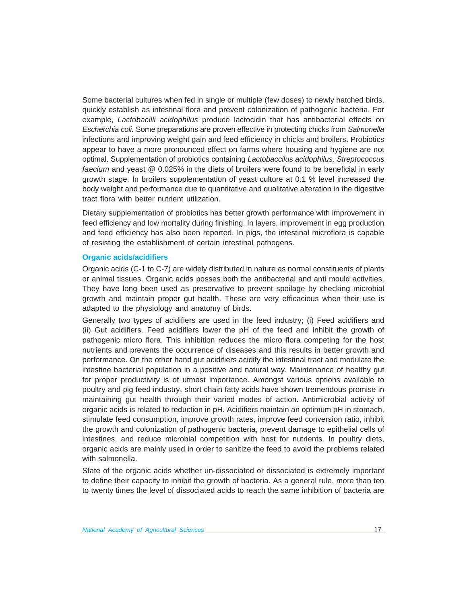Some bacterial cultures when fed in single or multiple (few doses) to newly hatched birds, quickly establish as intestinal flora and prevent colonization of pathogenic bacteria. For example, *Lactobacilli acidophilus* produce lactocidin that has antibacterial effects on *Escherchia coli.* Some preparations are proven effective in protecting chicks from *Salmonella* infections and improving weight gain and feed efficiency in chicks and broilers. Probiotics appear to have a more pronounced effect on farms where housing and hygiene are not optimal. Supplementation of probiotics containing *Lactobaccilus acidophilus, Streptococcus faecium* and yeast @ 0.025% in the diets of broilers were found to be beneficial in early growth stage. In broilers supplementation of yeast culture at 0.1 % level increased the body weight and performance due to quantitative and qualitative alteration in the digestive tract flora with better nutrient utilization.

Dietary supplementation of probiotics has better growth performance with improvement in feed efficiency and low mortality during finishing. In layers, improvement in egg production and feed efficiency has also been reported. In pigs, the intestinal microflora is capable of resisting the establishment of certain intestinal pathogens.

#### **Organic acids/acidifiers**

Organic acids (C-1 to C-7) are widely distributed in nature as normal constituents of plants or animal tissues. Organic acids posses both the antibacterial and anti mould activities. They have long been used as preservative to prevent spoilage by checking microbial growth and maintain proper gut health. These are very efficacious when their use is adapted to the physiology and anatomy of birds.

Generally two types of acidifiers are used in the feed industry; (i) Feed acidifiers and (ii) Gut acidifiers. Feed acidifiers lower the pH of the feed and inhibit the growth of pathogenic micro flora. This inhibition reduces the micro flora competing for the host nutrients and prevents the occurrence of diseases and this results in better growth and performance. On the other hand gut acidifiers acidify the intestinal tract and modulate the intestine bacterial population in a positive and natural way. Maintenance of healthy gut for proper productivity is of utmost importance. Amongst various options available to poultry and pig feed industry, short chain fatty acids have shown tremendous promise in maintaining gut health through their varied modes of action. Antimicrobial activity of organic acids is related to reduction in pH. Acidifiers maintain an optimum pH in stomach, stimulate feed consumption, improve growth rates, improve feed conversion ratio, inhibit the growth and colonization of pathogenic bacteria, prevent damage to epithelial cells of intestines, and reduce microbial competition with host for nutrients. In poultry diets, organic acids are mainly used in order to sanitize the feed to avoid the problems related with salmonella.

State of the organic acids whether un-dissociated or dissociated is extremely important to define their capacity to inhibit the growth of bacteria. As a general rule, more than ten to twenty times the level of dissociated acids to reach the same inhibition of bacteria are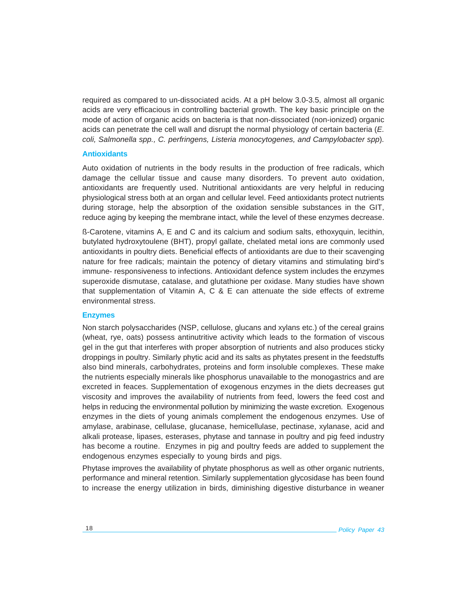required as compared to un-dissociated acids. At a pH below 3.0-3.5, almost all organic acids are very efficacious in controlling bacterial growth. The key basic principle on the mode of action of organic acids on bacteria is that non-dissociated (non-ionized) organic acids can penetrate the cell wall and disrupt the normal physiology of certain bacteria (*E. coli, Salmonella spp., C. perfringens, Listeria monocytogenes, and Campylobacter spp*)*.*

# **Antioxidants**

Auto oxidation of nutrients in the body results in the production of free radicals, which damage the cellular tissue and cause many disorders. To prevent auto oxidation, antioxidants are frequently used. Nutritional antioxidants are very helpful in reducing physiological stress both at an organ and cellular level. Feed antioxidants protect nutrients during storage, help the absorption of the oxidation sensible substances in the GIT, reduce aging by keeping the membrane intact, while the level of these enzymes decrease.

ß-Carotene, vitamins A, E and C and its calcium and sodium salts, ethoxyquin, lecithin, butylated hydroxytoulene (BHT), propyl gallate, chelated metal ions are commonly used antioxidants in poultry diets. Beneficial effects of antioxidants are due to their scavenging nature for free radicals; maintain the potency of dietary vitamins and stimulating bird's immune- responsiveness to infections. Antioxidant defence system includes the enzymes superoxide dismutase, catalase, and glutathione per oxidase. Many studies have shown that supplementation of Vitamin A, C & E can attenuate the side effects of extreme environmental stress.

#### **Enzymes**

Non starch polysaccharides (NSP, cellulose, glucans and xylans etc.) of the cereal grains (wheat, rye, oats) possess antinutritive activity which leads to the formation of viscous gel in the gut that interferes with proper absorption of nutrients and also produces sticky droppings in poultry. Similarly phytic acid and its salts as phytates present in the feedstuffs also bind minerals, carbohydrates, proteins and form insoluble complexes. These make the nutrients especially minerals like phosphorus unavailable to the monogastrics and are excreted in feaces. Supplementation of exogenous enzymes in the diets decreases gut viscosity and improves the availability of nutrients from feed, lowers the feed cost and helps in reducing the environmental pollution by minimizing the waste excretion. Exogenous enzymes in the diets of young animals complement the endogenous enzymes. Use of amylase, arabinase, cellulase, glucanase, hemicellulase, pectinase, xylanase, acid and alkali protease, lipases, esterases, phytase and tannase in poultry and pig feed industry has become a routine. Enzymes in pig and poultry feeds are added to supplement the endogenous enzymes especially to young birds and pigs.

Phytase improves the availability of phytate phosphorus as well as other organic nutrients, performance and mineral retention. Similarly supplementation glycosidase has been found to increase the energy utilization in birds, diminishing digestive disturbance in weaner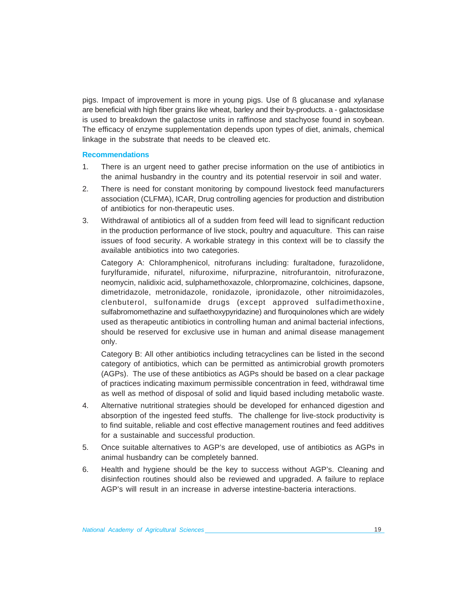pigs. Impact of improvement is more in young pigs. Use of ß glucanase and xylanase are beneficial with high fiber grains like wheat, barley and their by-products. a - galactosidase is used to breakdown the galactose units in raffinose and stachyose found in soybean. The efficacy of enzyme supplementation depends upon types of diet, animals, chemical linkage in the substrate that needs to be cleaved etc.

# **Recommendations**

- 1. There is an urgent need to gather precise information on the use of antibiotics in the animal husbandry in the country and its potential reservoir in soil and water.
- 2. There is need for constant monitoring by compound livestock feed manufacturers association (CLFMA), ICAR, Drug controlling agencies for production and distribution of antibiotics for non-therapeutic uses.
- 3. Withdrawal of antibiotics all of a sudden from feed will lead to significant reduction in the production performance of live stock, poultry and aquaculture. This can raise issues of food security. A workable strategy in this context will be to classify the available antibiotics into two categories.

Category A: Chloramphenicol, nitrofurans including: furaltadone, furazolidone, furylfuramide, nifuratel, nifuroxime, nifurprazine, nitrofurantoin, nitrofurazone, neomycin, nalidixic acid, sulphamethoxazole, chlorpromazine, colchicines, dapsone, dimetridazole, metronidazole, ronidazole, ipronidazole, other nitroimidazoles, clenbuterol, sulfonamide drugs (except approved sulfadimethoxine, sulfabromomethazine and sulfaethoxypyridazine) and fluroquinolones which are widely used as therapeutic antibiotics in controlling human and animal bacterial infections, should be reserved for exclusive use in human and animal disease management only.

Category B: All other antibiotics including tetracyclines can be listed in the second category of antibiotics, which can be permitted as antimicrobial growth promoters (AGPs). The use of these antibiotics as AGPs should be based on a clear package of practices indicating maximum permissible concentration in feed, withdrawal time as well as method of disposal of solid and liquid based including metabolic waste.

- 4. Alternative nutritional strategies should be developed for enhanced digestion and absorption of the ingested feed stuffs. The challenge for live-stock productivity is to find suitable, reliable and cost effective management routines and feed additives for a sustainable and successful production.
- 5. Once suitable alternatives to AGP's are developed, use of antibiotics as AGPs in animal husbandry can be completely banned.
- 6. Health and hygiene should be the key to success without AGP's. Cleaning and disinfection routines should also be reviewed and upgraded. A failure to replace AGP's will result in an increase in adverse intestine-bacteria interactions.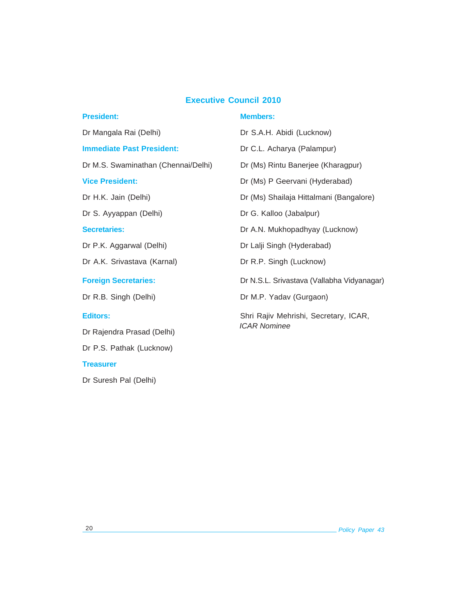# **Executive Council 2010**

| <b>President:</b>                   | <b>Members:</b>                            |  |  |  |
|-------------------------------------|--------------------------------------------|--|--|--|
| Dr Mangala Rai (Delhi)              | Dr S.A.H. Abidi (Lucknow)                  |  |  |  |
| <b>Immediate Past President:</b>    | Dr C.L. Acharya (Palampur)                 |  |  |  |
| Dr M.S. Swaminathan (Chennai/Delhi) | Dr (Ms) Rintu Banerjee (Kharagpur)         |  |  |  |
| <b>Vice President:</b>              | Dr (Ms) P Geervani (Hyderabad)             |  |  |  |
| Dr H.K. Jain (Delhi)                | Dr (Ms) Shailaja Hittalmani (Bangalore)    |  |  |  |
| Dr S. Ayyappan (Delhi)              | Dr G. Kalloo (Jabalpur)                    |  |  |  |
| <b>Secretaries:</b>                 | Dr A.N. Mukhopadhyay (Lucknow)             |  |  |  |
| Dr P.K. Aggarwal (Delhi)            | Dr Lalji Singh (Hyderabad)                 |  |  |  |
| Dr A.K. Srivastava (Karnal)         | Dr R.P. Singh (Lucknow)                    |  |  |  |
| <b>Foreign Secretaries:</b>         | Dr N.S.L. Srivastava (Vallabha Vidyanagar) |  |  |  |
| Dr R.B. Singh (Delhi)               | Dr M.P. Yadav (Gurgaon)                    |  |  |  |
| <b>Editors:</b>                     | Shri Rajiv Mehrishi, Secretary, ICAR,      |  |  |  |
| Dr Rajendra Prasad (Delhi)          | <b>ICAR Nominee</b>                        |  |  |  |
| Dr P.S. Pathak (Lucknow)            |                                            |  |  |  |

Dr Suresh Pal (Delhi)

**Treasurer**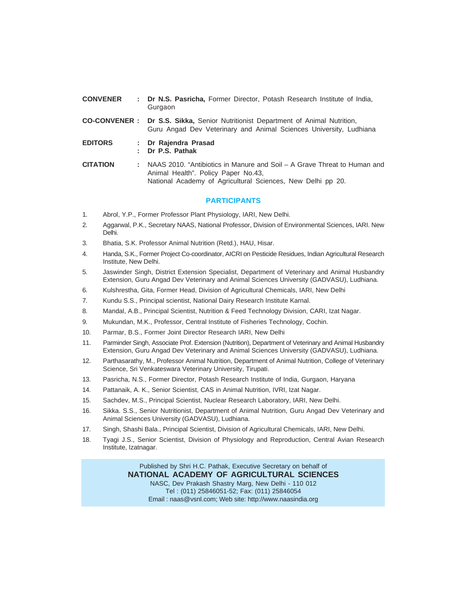| <b>CONVENER</b> | : Dr N.S. Pasricha, Former Director, Potash Research Institute of India,<br>Gurgaon                                                                                            |
|-----------------|--------------------------------------------------------------------------------------------------------------------------------------------------------------------------------|
|                 | <b>CO-CONVENER : Dr S.S. Sikka, Senior Nutritionist Department of Animal Nutrition,</b><br>Guru Angad Dev Veterinary and Animal Sciences University, Ludhiana                  |
| <b>EDITORS</b>  | : Dr Rajendra Prasad<br>: Dr P.S. Pathak                                                                                                                                       |
| <b>CITATION</b> | NAAS 2010. "Antibiotics in Manure and Soil – A Grave Threat to Human and<br>Animal Health". Policy Paper No.43,<br>National Academy of Agricultural Sciences, New Delhi pp 20. |

#### **PARTICIPANTS**

- 1. Abrol, Y.P., Former Professor Plant Physiology, IARI, New Delhi.
- 2. Aggarwal, P.K., Secretary NAAS, National Professor, Division of Environmental Sciences, IARI. New Delhi.
- 3. Bhatia, S.K. Professor Animal Nutrition (Retd.), HAU, Hisar.
- 4. Handa, S.K., Former Project Co-coordinator, AICRI on Pesticide Residues, Indian Agricultural Research Institute, New Delhi.
- 5. Jaswinder Singh, District Extension Specialist, Department of Veterinary and Animal Husbandry Extension, Guru Angad Dev Veterinary and Animal Sciences University (GADVASU), Ludhiana.
- 6. Kulshrestha, Gita, Former Head, Division of Agricultural Chemicals, IARI, New Delhi
- 7. Kundu S.S., Principal scientist, National Dairy Research Institute Karnal.
- 8. Mandal, A.B., Principal Scientist, Nutrition & Feed Technology Division, CARI, Izat Nagar.
- 9. Mukundan, M.K., Professor, Central Institute of Fisheries Technology, Cochin.
- 10. Parmar, B.S., Former Joint Director Research IARI, New Delhi
- 11. Parminder Singh, Associate Prof. Extension (Nutrition), Department of Veterinary and Animal Husbandry Extension, Guru Angad Dev Veterinary and Animal Sciences University (GADVASU), Ludhiana.
- 12. Parthasarathy, M., Professor Animal Nutrition, Department of Animal Nutrition, College of Veterinary Science, Sri Venkateswara Veterinary University, Tirupati.
- 13. Pasricha, N.S., Former Director, Potash Research Institute of India, Gurgaon, Haryana
- 14. Pattanaik, A. K., Senior Scientist, CAS in Animal Nutrition, IVRI, Izat Nagar.
- 15. Sachdev, M.S., Principal Scientist, Nuclear Research Laboratory, IARI, New Delhi.
- 16. Sikka. S.S., Senior Nutritionist, Department of Animal Nutrition, Guru Angad Dev Veterinary and Animal Sciences University (GADVASU), Ludhiana.
- 17. Singh, Shashi Bala., Principal Scientist, Division of Agricultural Chemicals, IARI, New Delhi.
- 18. Tyagi J.S., Senior Scientist, Division of Physiology and Reproduction, Central Avian Research Institute, Izatnagar.

Published by Shri H.C. Pathak, Executive Secretary on behalf of **NATIONAL ACADEMY OF AGRICULTURAL SCIENCES** NASC, Dev Prakash Shastry Marg, New Delhi - 110 012 Tel : (011) 25846051-52; Fax: (011) 25846054 Email : naas@vsnl.com; Web site: http://www.naasindia.org